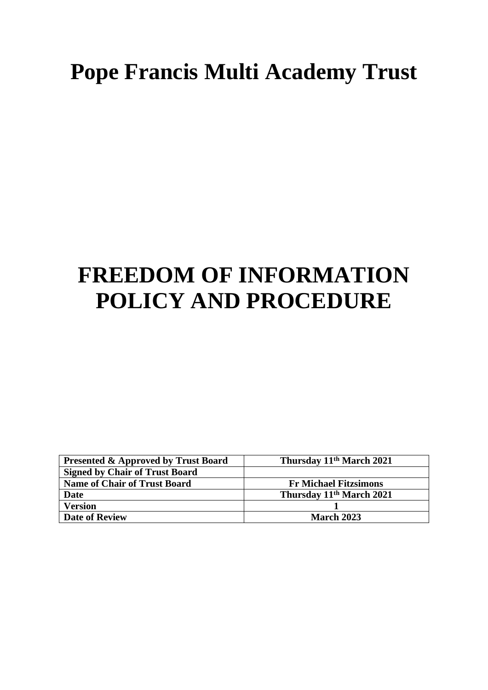## **Pope Francis Multi Academy Trust**

# **FREEDOM OF INFORMATION POLICY AND PROCEDURE**

| <b>Presented &amp; Approved by Trust Board</b> | Thursday 11 <sup>th</sup> March 2021 |
|------------------------------------------------|--------------------------------------|
| <b>Signed by Chair of Trust Board</b>          |                                      |
| <b>Name of Chair of Trust Board</b>            | <b>Fr Michael Fitzsimons</b>         |
| <b>Date</b>                                    | Thursday 11 <sup>th</sup> March 2021 |
| <b>Version</b>                                 |                                      |
| <b>Date of Review</b>                          | <b>March 2023</b>                    |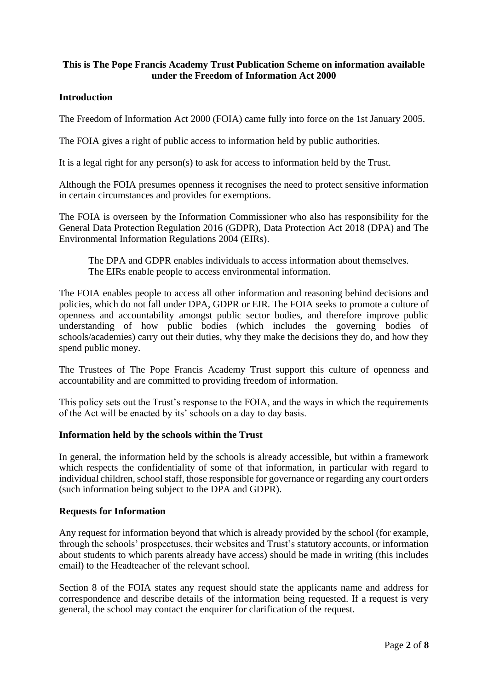## **This is The Pope Francis Academy Trust Publication Scheme on information available under the Freedom of Information Act 2000**

## **Introduction**

The Freedom of Information Act 2000 (FOIA) came fully into force on the 1st January 2005.

The FOIA gives a right of public access to information held by public authorities.

It is a legal right for any person(s) to ask for access to information held by the Trust.

Although the FOIA presumes openness it recognises the need to protect sensitive information in certain circumstances and provides for exemptions.

The FOIA is overseen by the Information Commissioner who also has responsibility for the General Data Protection Regulation 2016 (GDPR), Data Protection Act 2018 (DPA) and The Environmental Information Regulations 2004 (EIRs).

The DPA and GDPR enables individuals to access information about themselves. The EIRs enable people to access environmental information.

The FOIA enables people to access all other information and reasoning behind decisions and policies, which do not fall under DPA, GDPR or EIR. The FOIA seeks to promote a culture of openness and accountability amongst public sector bodies, and therefore improve public understanding of how public bodies (which includes the governing bodies of schools/academies) carry out their duties, why they make the decisions they do, and how they spend public money.

The Trustees of The Pope Francis Academy Trust support this culture of openness and accountability and are committed to providing freedom of information.

This policy sets out the Trust's response to the FOIA, and the ways in which the requirements of the Act will be enacted by its' schools on a day to day basis.

### **Information held by the schools within the Trust**

In general, the information held by the schools is already accessible, but within a framework which respects the confidentiality of some of that information, in particular with regard to individual children, school staff, those responsible for governance or regarding any court orders (such information being subject to the DPA and GDPR).

### **Requests for Information**

Any request for information beyond that which is already provided by the school (for example, through the schools' prospectuses, their websites and Trust's statutory accounts, or information about students to which parents already have access) should be made in writing (this includes email) to the Headteacher of the relevant school.

Section 8 of the FOIA states any request should state the applicants name and address for correspondence and describe details of the information being requested. If a request is very general, the school may contact the enquirer for clarification of the request.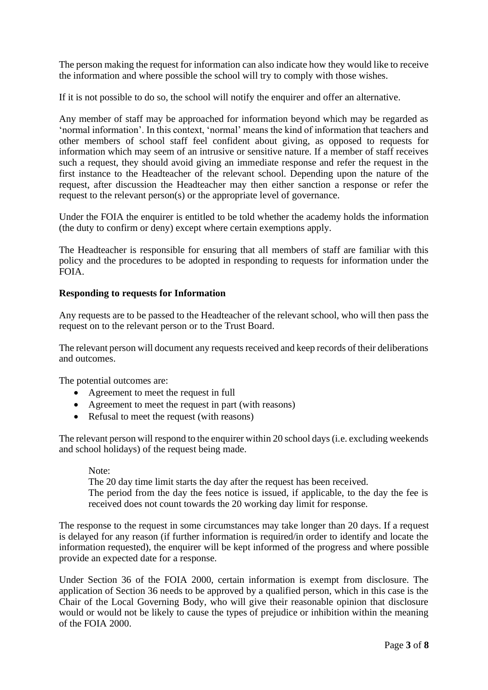The person making the request for information can also indicate how they would like to receive the information and where possible the school will try to comply with those wishes.

If it is not possible to do so, the school will notify the enquirer and offer an alternative.

Any member of staff may be approached for information beyond which may be regarded as 'normal information'. In this context, 'normal' means the kind of information that teachers and other members of school staff feel confident about giving, as opposed to requests for information which may seem of an intrusive or sensitive nature. If a member of staff receives such a request, they should avoid giving an immediate response and refer the request in the first instance to the Headteacher of the relevant school. Depending upon the nature of the request, after discussion the Headteacher may then either sanction a response or refer the request to the relevant person(s) or the appropriate level of governance.

Under the FOIA the enquirer is entitled to be told whether the academy holds the information (the duty to confirm or deny) except where certain exemptions apply.

The Headteacher is responsible for ensuring that all members of staff are familiar with this policy and the procedures to be adopted in responding to requests for information under the FOIA.

### **Responding to requests for Information**

Any requests are to be passed to the Headteacher of the relevant school, who will then pass the request on to the relevant person or to the Trust Board.

The relevant person will document any requests received and keep records of their deliberations and outcomes.

The potential outcomes are:

- Agreement to meet the request in full
- Agreement to meet the request in part (with reasons)
- Refusal to meet the request (with reasons)

The relevant person will respond to the enquirer within 20 school days (i.e. excluding weekends and school holidays) of the request being made.

#### Note:

The 20 day time limit starts the day after the request has been received.

The period from the day the fees notice is issued, if applicable, to the day the fee is received does not count towards the 20 working day limit for response.

The response to the request in some circumstances may take longer than 20 days. If a request is delayed for any reason (if further information is required/in order to identify and locate the information requested), the enquirer will be kept informed of the progress and where possible provide an expected date for a response.

Under Section 36 of the FOIA 2000, certain information is exempt from disclosure. The application of Section 36 needs to be approved by a qualified person, which in this case is the Chair of the Local Governing Body, who will give their reasonable opinion that disclosure would or would not be likely to cause the types of prejudice or inhibition within the meaning of the FOIA 2000.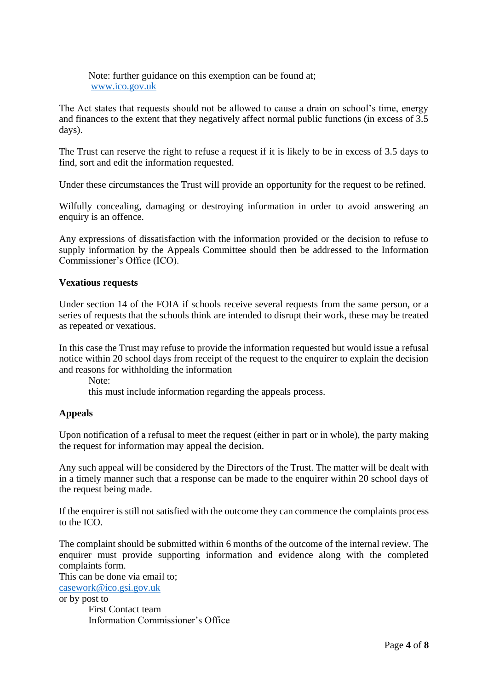Note: further guidance on this exemption can be found at; [www.ico.gov.uk](http://www.ico.gov.uk/)

The Act states that requests should not be allowed to cause a drain on school's time, energy and finances to the extent that they negatively affect normal public functions (in excess of 3.5 days).

The Trust can reserve the right to refuse a request if it is likely to be in excess of 3.5 days to find, sort and edit the information requested.

Under these circumstances the Trust will provide an opportunity for the request to be refined.

Wilfully concealing, damaging or destroying information in order to avoid answering an enquiry is an offence.

Any expressions of dissatisfaction with the information provided or the decision to refuse to supply information by the Appeals Committee should then be addressed to the Information Commissioner's Office (ICO).

### **Vexatious requests**

Under section 14 of the FOIA if schools receive several requests from the same person, or a series of requests that the schools think are intended to disrupt their work, these may be treated as repeated or vexatious.

In this case the Trust may refuse to provide the information requested but would issue a refusal notice within 20 school days from receipt of the request to the enquirer to explain the decision and reasons for withholding the information

Note:

this must include information regarding the appeals process.

## **Appeals**

Upon notification of a refusal to meet the request (either in part or in whole), the party making the request for information may appeal the decision.

Any such appeal will be considered by the Directors of the Trust. The matter will be dealt with in a timely manner such that a response can be made to the enquirer within 20 school days of the request being made.

If the enquirer is still not satisfied with the outcome they can commence the complaints process to the ICO.

The complaint should be submitted within 6 months of the outcome of the internal review. The enquirer must provide supporting information and evidence along with the completed complaints form.

This can be done via email to; [casework@ico.gsi.gov.uk](mailto:casework@ico.gsi.gov.uk) or by post to First Contact team Information Commissioner's Office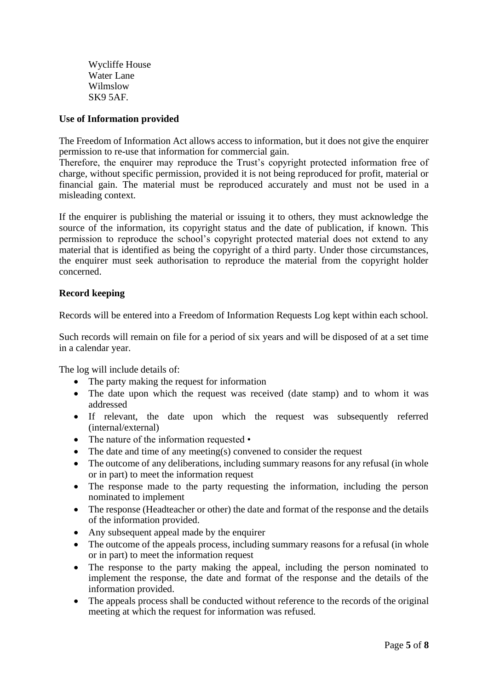Wycliffe House Water Lane Wilmslow SK9 5AF.

## **Use of Information provided**

The Freedom of Information Act allows access to information, but it does not give the enquirer permission to re-use that information for commercial gain.

Therefore, the enquirer may reproduce the Trust's copyright protected information free of charge, without specific permission, provided it is not being reproduced for profit, material or financial gain. The material must be reproduced accurately and must not be used in a misleading context.

If the enquirer is publishing the material or issuing it to others, they must acknowledge the source of the information, its copyright status and the date of publication, if known. This permission to reproduce the school's copyright protected material does not extend to any material that is identified as being the copyright of a third party. Under those circumstances, the enquirer must seek authorisation to reproduce the material from the copyright holder concerned.

## **Record keeping**

Records will be entered into a Freedom of Information Requests Log kept within each school.

Such records will remain on file for a period of six years and will be disposed of at a set time in a calendar year.

The log will include details of:

- The party making the request for information
- The date upon which the request was received (date stamp) and to whom it was addressed
- If relevant, the date upon which the request was subsequently referred (internal/external)
- The nature of the information requested •
- The date and time of any meeting(s) convened to consider the request
- The outcome of any deliberations, including summary reasons for any refusal (in whole or in part) to meet the information request
- The response made to the party requesting the information, including the person nominated to implement
- The response (Headteacher or other) the date and format of the response and the details of the information provided.
- Any subsequent appeal made by the enquirer
- The outcome of the appeals process, including summary reasons for a refusal (in whole or in part) to meet the information request
- The response to the party making the appeal, including the person nominated to implement the response, the date and format of the response and the details of the information provided.
- The appeals process shall be conducted without reference to the records of the original meeting at which the request for information was refused.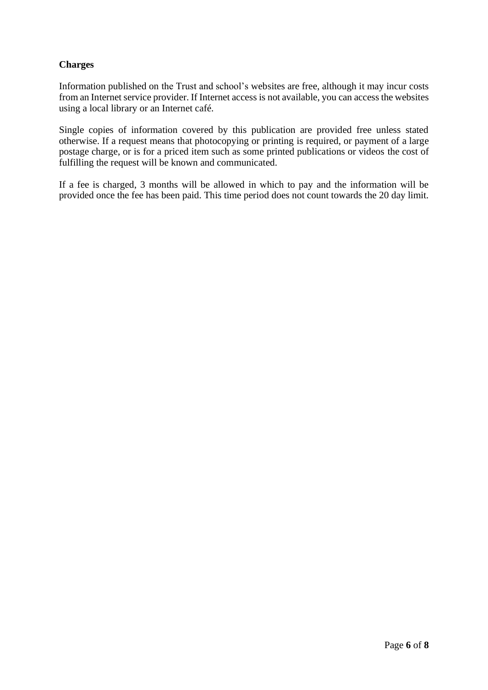## **Charges**

Information published on the Trust and school's websites are free, although it may incur costs from an Internet service provider. If Internet access is not available, you can access the websites using a local library or an Internet café.

Single copies of information covered by this publication are provided free unless stated otherwise. If a request means that photocopying or printing is required, or payment of a large postage charge, or is for a priced item such as some printed publications or videos the cost of fulfilling the request will be known and communicated.

If a fee is charged, 3 months will be allowed in which to pay and the information will be provided once the fee has been paid. This time period does not count towards the 20 day limit.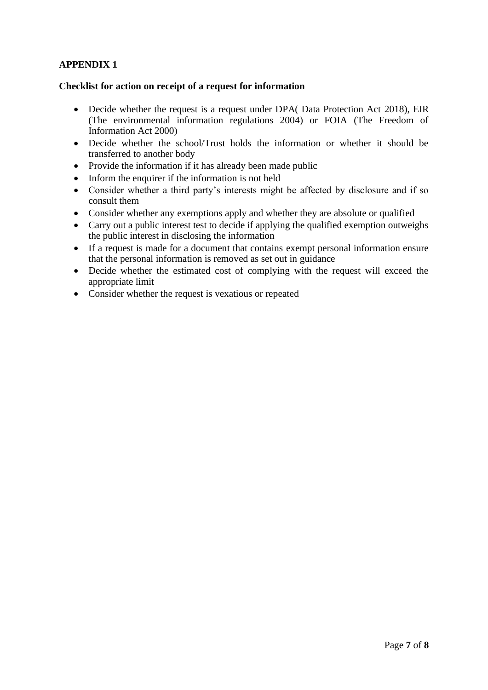## **APPENDIX 1**

### **Checklist for action on receipt of a request for information**

- Decide whether the request is a request under DPA( Data Protection Act 2018), EIR (The environmental information regulations 2004) or FOIA (The Freedom of Information Act 2000)
- Decide whether the school/Trust holds the information or whether it should be transferred to another body
- Provide the information if it has already been made public
- Inform the enquirer if the information is not held
- Consider whether a third party's interests might be affected by disclosure and if so consult them
- Consider whether any exemptions apply and whether they are absolute or qualified
- Carry out a public interest test to decide if applying the qualified exemption outweighs the public interest in disclosing the information
- If a request is made for a document that contains exempt personal information ensure that the personal information is removed as set out in guidance
- Decide whether the estimated cost of complying with the request will exceed the appropriate limit
- Consider whether the request is vexatious or repeated